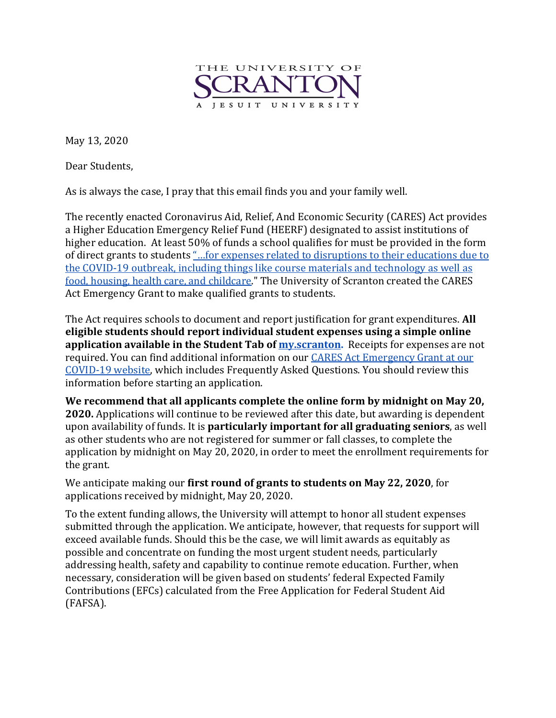

May 13, 2020

Dear Students,

As is always the case, I pray that this email finds you and your family well.

The recently enacted Coronavirus Aid, Relief, And Economic Security (CARES) Act provides a Higher Education Emergency Relief Fund (HEERF) designated to assist institutions of higher education. At least 50% of funds a school qualifies for must be provided in the form of direct grants to students "...for expenses related to disruptions to their educations due to the COVID-19 outbreak, including things like course materials and technology as well as food, housing, health care, and childcare." The University of Scranton created the CARES Act Emergency Grant to make qualified grants to students.

The Act requires schools to document and report justification for grant expenditures. All **eligible students should report individual student expenses using a simple online application available in the Student Tab of my.scranton.** Receipts for expenses are not required. You can find additional information on our **CARES** Act Emergency Grant at our COVID-19 website, which includes Frequently Asked Questions. You should review this information before starting an application.

We recommend that all applicants complete the online form by midnight on May 20, **2020.** Applications will continue to be reviewed after this date, but awarding is dependent upon availability of funds. It is **particularly important for all graduating seniors**, as well as other students who are not registered for summer or fall classes, to complete the application by midnight on May 20, 2020, in order to meet the enrollment requirements for the grant.

We anticipate making our first round of grants to students on May 22, 2020, for applications received by midnight, May 20, 2020.

To the extent funding allows, the University will attempt to honor all student expenses submitted through the application. We anticipate, however, that requests for support will exceed available funds. Should this be the case, we will limit awards as equitably as possible and concentrate on funding the most urgent student needs, particularly addressing health, safety and capability to continue remote education. Further, when necessary, consideration will be given based on students' federal Expected Family Contributions (EFCs) calculated from the Free Application for Federal Student Aid (FAFSA).